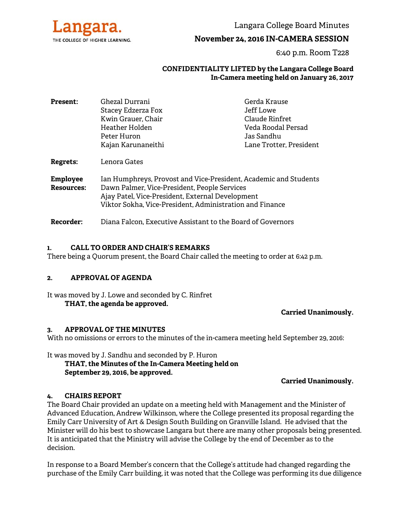

Langara College Board Minutes

# **November 24, 2016 IN-CAMERA SESSION**

6:40 p.m. Room T228

#### **CONFIDENTIALITY LIFTED by the Langara College Board In-Camera meeting held on January 26, 2017**

| <b>Present:</b>                      | Ghezal Durrani                                                                                                                                                                                                                   | Gerda Krause            |
|--------------------------------------|----------------------------------------------------------------------------------------------------------------------------------------------------------------------------------------------------------------------------------|-------------------------|
|                                      | Stacey Edzerza Fox                                                                                                                                                                                                               | Jeff Lowe               |
|                                      | Kwin Grauer, Chair                                                                                                                                                                                                               | Claude Rinfret          |
|                                      | Heather Holden                                                                                                                                                                                                                   | Veda Roodal Persad      |
|                                      | Peter Huron                                                                                                                                                                                                                      | Jas Sandhu              |
|                                      | Kajan Karunaneithi                                                                                                                                                                                                               | Lane Trotter, President |
| Regrets:                             | Lenora Gates                                                                                                                                                                                                                     |                         |
| <b>Employee</b><br><b>Resources:</b> | Ian Humphreys, Provost and Vice-President, Academic and Students<br>Dawn Palmer, Vice-President, People Services<br>Ajay Patel, Vice-President, External Development<br>Viktor Sokha, Vice-President, Administration and Finance |                         |
| <b>Recorder:</b>                     | Diana Falcon, Executive Assistant to the Board of Governors                                                                                                                                                                      |                         |

#### **1. CALL TO ORDER AND CHAIR'S REMARKS**

There being a Quorum present, the Board Chair called the meeting to order at 6:42 p.m.

#### **2. APPROVAL OF AGENDA**

It was moved by J. Lowe and seconded by C. Rinfret **THAT, the agenda be approved.** 

**Carried Unanimously.** 

#### **3. APPROVAL OF THE MINUTES**

With no omissions or errors to the minutes of the in-camera meeting held September 29, 2016:

It was moved by J. Sandhu and seconded by P. Huron

 **THAT, the Minutes of the In-Camera Meeting held on September 29, 2016, be approved.** 

**Carried Unanimously.** 

## **4. CHAIRS REPORT**

The Board Chair provided an update on a meeting held with Management and the Minister of Advanced Education, Andrew Wilkinson, where the College presented its proposal regarding the Emily Carr University of Art & Design South Building on Granville Island. He advised that the Minister will do his best to showcase Langara but there are many other proposals being presented. It is anticipated that the Ministry will advise the College by the end of December as to the decision.

In response to a Board Member's concern that the College's attitude had changed regarding the purchase of the Emily Carr building, it was noted that the College was performing its due diligence